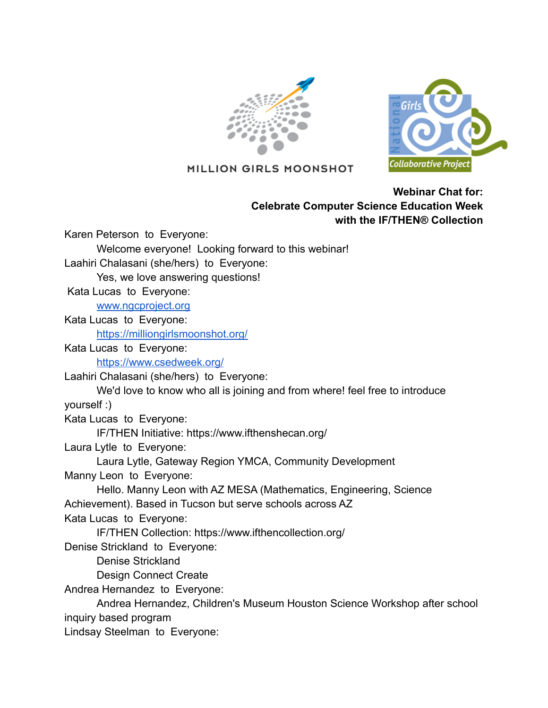



MILLION GIRLS MOONSHOT

## **Webinar Chat for: Celebrate Computer Science Education Week with the IF/THEN® Collection**

Karen Peterson to Everyone:

Welcome everyone! Looking forward to this webinar!

Laahiri Chalasani (she/hers) to Everyone:

Yes, we love answering questions!

Kata Lucas to Everyone:

[www.ngcproject.org](http://www.ngcproject.org)

Kata Lucas to Everyone:

<https://milliongirlsmoonshot.org/>

Kata Lucas to Everyone: <https://www.csedweek.org/>

Laahiri Chalasani (she/hers) to Everyone:

We'd love to know who all is joining and from where! feel free to introduce yourself :)

Kata Lucas to Everyone:

IF/THEN Initiative: https://www.ifthenshecan.org/

Laura Lytle to Everyone:

Laura Lytle, Gateway Region YMCA, Community Development

Manny Leon to Everyone:

Hello. Manny Leon with AZ MESA (Mathematics, Engineering, Science Achievement). Based in Tucson but serve schools across AZ

Kata Lucas to Everyone:

IF/THEN Collection: https://www.ifthencollection.org/

Denise Strickland to Everyone:

Denise Strickland

Design Connect Create

Andrea Hernandez to Everyone:

Andrea Hernandez, Children's Museum Houston Science Workshop after school inquiry based program

Lindsay Steelman to Everyone: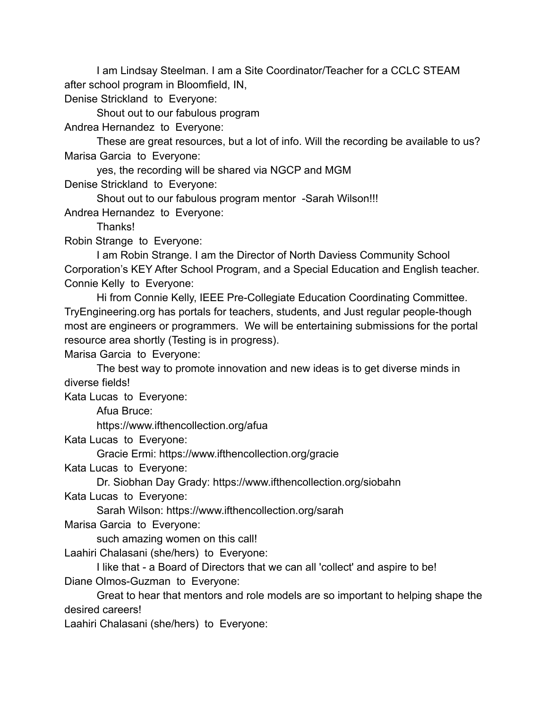I am Lindsay Steelman. I am a Site Coordinator/Teacher for a CCLC STEAM after school program in Bloomfield, IN,

Denise Strickland to Everyone:

Shout out to our fabulous program

Andrea Hernandez to Everyone:

These are great resources, but a lot of info. Will the recording be available to us? Marisa Garcia to Everyone:

yes, the recording will be shared via NGCP and MGM

Denise Strickland to Everyone:

Shout out to our fabulous program mentor -Sarah Wilson!!!

Andrea Hernandez to Everyone:

Thanks!

Robin Strange to Everyone:

I am Robin Strange. I am the Director of North Daviess Community School Corporation's KEY After School Program, and a Special Education and English teacher. Connie Kelly to Everyone:

Hi from Connie Kelly, IEEE Pre-Collegiate Education Coordinating Committee. TryEngineering.org has portals for teachers, students, and Just regular people-though most are engineers or programmers. We will be entertaining submissions for the portal resource area shortly (Testing is in progress).

Marisa Garcia to Everyone:

The best way to promote innovation and new ideas is to get diverse minds in diverse fields!

Kata Lucas to Everyone:

Afua Bruce:

https://www.ifthencollection.org/afua

Kata Lucas to Everyone:

Gracie Ermi: https://www.ifthencollection.org/gracie

Kata Lucas to Everyone:

Dr. Siobhan Day Grady: https://www.ifthencollection.org/siobahn

Kata Lucas to Everyone:

Sarah Wilson: https://www.ifthencollection.org/sarah

Marisa Garcia to Everyone:

such amazing women on this call!

Laahiri Chalasani (she/hers) to Everyone:

I like that - a Board of Directors that we can all 'collect' and aspire to be! Diane Olmos-Guzman to Everyone:

Great to hear that mentors and role models are so important to helping shape the desired careers!

Laahiri Chalasani (she/hers) to Everyone: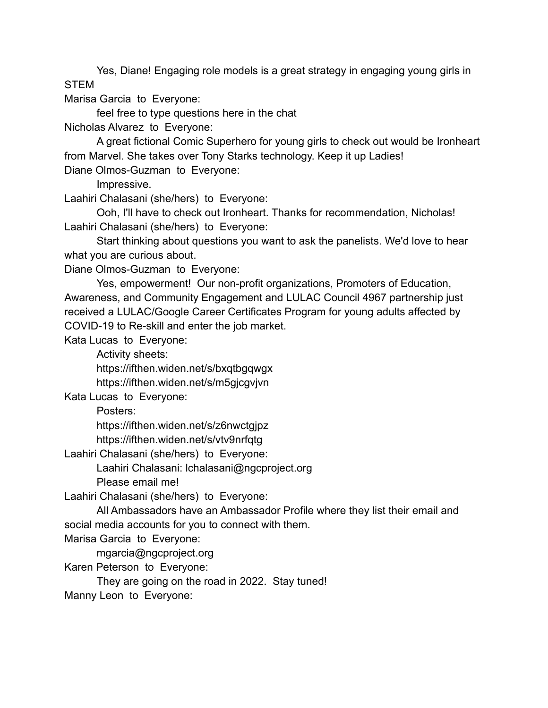Yes, Diane! Engaging role models is a great strategy in engaging young girls in **STEM** 

Marisa Garcia to Everyone:

feel free to type questions here in the chat

Nicholas Alvarez to Everyone:

A great fictional Comic Superhero for young girls to check out would be Ironheart from Marvel. She takes over Tony Starks technology. Keep it up Ladies! Diane Olmos-Guzman to Everyone:

Impressive.

Laahiri Chalasani (she/hers) to Everyone:

Ooh, I'll have to check out Ironheart. Thanks for recommendation, Nicholas! Laahiri Chalasani (she/hers) to Everyone:

Start thinking about questions you want to ask the panelists. We'd love to hear what you are curious about.

Diane Olmos-Guzman to Everyone:

Yes, empowerment! Our non-profit organizations, Promoters of Education, Awareness, and Community Engagement and LULAC Council 4967 partnership just received a LULAC/Google Career Certificates Program for young adults affected by COVID-19 to Re-skill and enter the job market.

Kata Lucas to Everyone:

Activity sheets:

https://ifthen.widen.net/s/bxqtbgqwgx

https://ifthen.widen.net/s/m5gjcgvjvn

Kata Lucas to Everyone:

Posters:

https://ifthen.widen.net/s/z6nwctgjpz

https://ifthen.widen.net/s/vtv9nrfqtg

Laahiri Chalasani (she/hers) to Everyone:

Laahiri Chalasani: lchalasani@ngcproject.org

Please email me!

Laahiri Chalasani (she/hers) to Everyone:

All Ambassadors have an Ambassador Profile where they list their email and social media accounts for you to connect with them.

Marisa Garcia to Everyone:

mgarcia@ngcproject.org

Karen Peterson to Everyone:

They are going on the road in 2022. Stay tuned!

Manny Leon to Everyone: